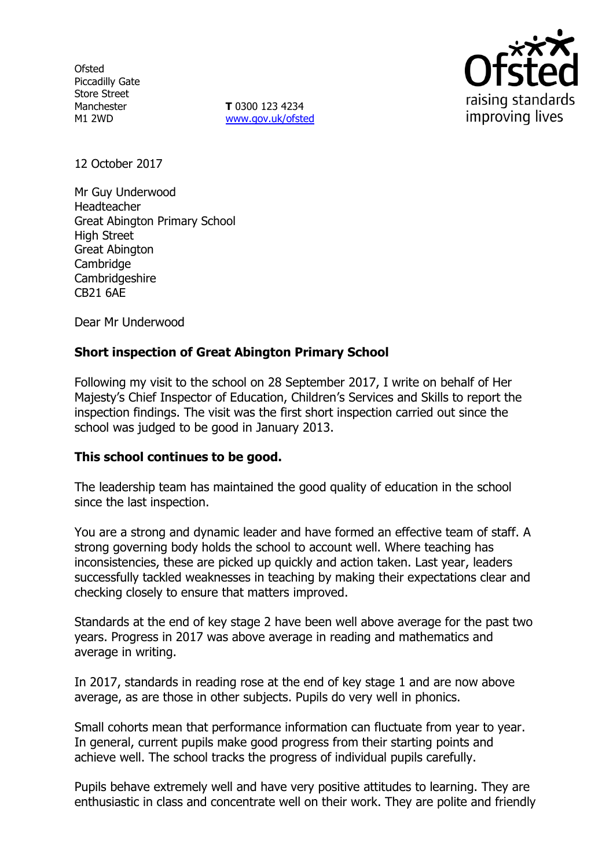**Ofsted** Piccadilly Gate Store Street Manchester M1 2WD

**T** 0300 123 4234 www.gov.uk/ofsted



12 October 2017

Mr Guy Underwood Headteacher Great Abington Primary School High Street Great Abington **Cambridge Cambridgeshire** CB21 6AE

Dear Mr Underwood

## **Short inspection of Great Abington Primary School**

Following my visit to the school on 28 September 2017, I write on behalf of Her Majesty's Chief Inspector of Education, Children's Services and Skills to report the inspection findings. The visit was the first short inspection carried out since the school was judged to be good in January 2013.

### **This school continues to be good.**

The leadership team has maintained the good quality of education in the school since the last inspection.

You are a strong and dynamic leader and have formed an effective team of staff. A strong governing body holds the school to account well. Where teaching has inconsistencies, these are picked up quickly and action taken. Last year, leaders successfully tackled weaknesses in teaching by making their expectations clear and checking closely to ensure that matters improved.

Standards at the end of key stage 2 have been well above average for the past two years. Progress in 2017 was above average in reading and mathematics and average in writing.

In 2017, standards in reading rose at the end of key stage 1 and are now above average, as are those in other subjects. Pupils do very well in phonics.

Small cohorts mean that performance information can fluctuate from year to year. In general, current pupils make good progress from their starting points and achieve well. The school tracks the progress of individual pupils carefully.

Pupils behave extremely well and have very positive attitudes to learning. They are enthusiastic in class and concentrate well on their work. They are polite and friendly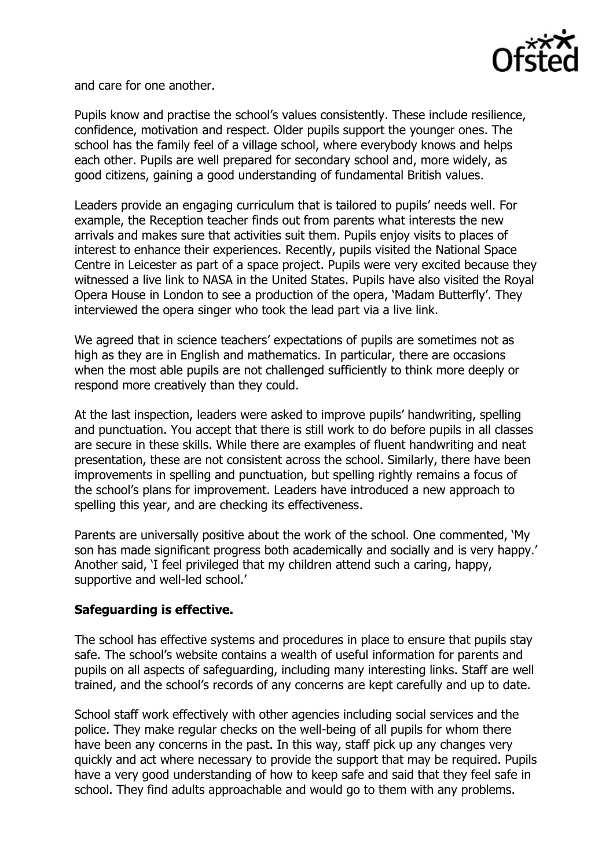

and care for one another.

Pupils know and practise the school's values consistently. These include resilience, confidence, motivation and respect. Older pupils support the younger ones. The school has the family feel of a village school, where everybody knows and helps each other. Pupils are well prepared for secondary school and, more widely, as good citizens, gaining a good understanding of fundamental British values.

Leaders provide an engaging curriculum that is tailored to pupils' needs well. For example, the Reception teacher finds out from parents what interests the new arrivals and makes sure that activities suit them. Pupils enjoy visits to places of interest to enhance their experiences. Recently, pupils visited the National Space Centre in Leicester as part of a space project. Pupils were very excited because they witnessed a live link to NASA in the United States. Pupils have also visited the Royal Opera House in London to see a production of the opera, 'Madam Butterfly'. They interviewed the opera singer who took the lead part via a live link.

We agreed that in science teachers' expectations of pupils are sometimes not as high as they are in English and mathematics. In particular, there are occasions when the most able pupils are not challenged sufficiently to think more deeply or respond more creatively than they could.

At the last inspection, leaders were asked to improve pupils' handwriting, spelling and punctuation. You accept that there is still work to do before pupils in all classes are secure in these skills. While there are examples of fluent handwriting and neat presentation, these are not consistent across the school. Similarly, there have been improvements in spelling and punctuation, but spelling rightly remains a focus of the school's plans for improvement. Leaders have introduced a new approach to spelling this year, and are checking its effectiveness.

Parents are universally positive about the work of the school. One commented, 'My son has made significant progress both academically and socially and is very happy.' Another said, 'I feel privileged that my children attend such a caring, happy, supportive and well-led school.'

## **Safeguarding is effective.**

The school has effective systems and procedures in place to ensure that pupils stay safe. The school's website contains a wealth of useful information for parents and pupils on all aspects of safeguarding, including many interesting links. Staff are well trained, and the school's records of any concerns are kept carefully and up to date.

School staff work effectively with other agencies including social services and the police. They make regular checks on the well-being of all pupils for whom there have been any concerns in the past. In this way, staff pick up any changes very quickly and act where necessary to provide the support that may be required. Pupils have a very good understanding of how to keep safe and said that they feel safe in school. They find adults approachable and would go to them with any problems.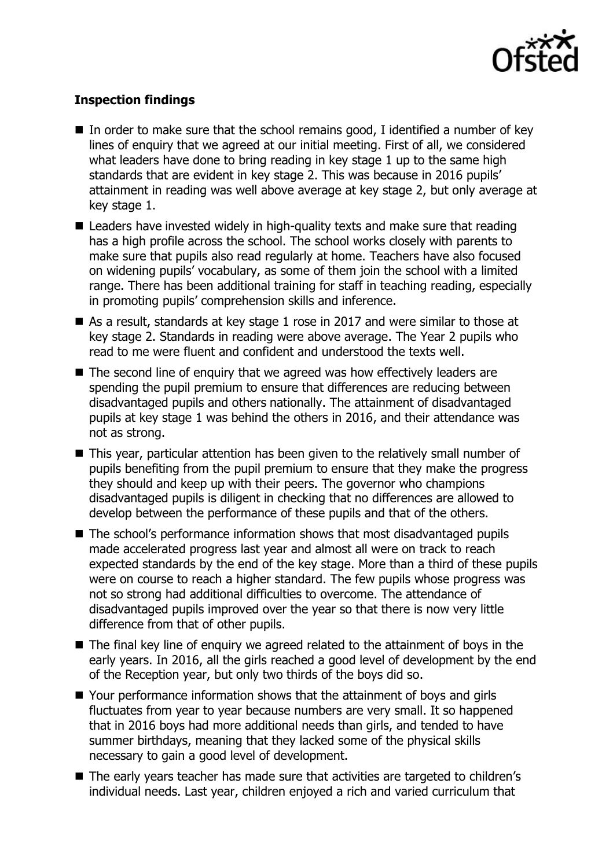

# **Inspection findings**

- In order to make sure that the school remains good, I identified a number of key lines of enquiry that we agreed at our initial meeting. First of all, we considered what leaders have done to bring reading in key stage 1 up to the same high standards that are evident in key stage 2. This was because in 2016 pupils' attainment in reading was well above average at key stage 2, but only average at key stage 1.
- Leaders have invested widely in high-quality texts and make sure that reading has a high profile across the school. The school works closely with parents to make sure that pupils also read regularly at home. Teachers have also focused on widening pupils' vocabulary, as some of them join the school with a limited range. There has been additional training for staff in teaching reading, especially in promoting pupils' comprehension skills and inference.
- As a result, standards at key stage 1 rose in 2017 and were similar to those at key stage 2. Standards in reading were above average. The Year 2 pupils who read to me were fluent and confident and understood the texts well.
- The second line of enquiry that we agreed was how effectively leaders are spending the pupil premium to ensure that differences are reducing between disadvantaged pupils and others nationally. The attainment of disadvantaged pupils at key stage 1 was behind the others in 2016, and their attendance was not as strong.
- This year, particular attention has been given to the relatively small number of pupils benefiting from the pupil premium to ensure that they make the progress they should and keep up with their peers. The governor who champions disadvantaged pupils is diligent in checking that no differences are allowed to develop between the performance of these pupils and that of the others.
- The school's performance information shows that most disadvantaged pupils made accelerated progress last year and almost all were on track to reach expected standards by the end of the key stage. More than a third of these pupils were on course to reach a higher standard. The few pupils whose progress was not so strong had additional difficulties to overcome. The attendance of disadvantaged pupils improved over the year so that there is now very little difference from that of other pupils.
- $\blacksquare$  The final key line of enguiry we agreed related to the attainment of boys in the early years. In 2016, all the girls reached a good level of development by the end of the Reception year, but only two thirds of the boys did so.
- Your performance information shows that the attainment of boys and girls fluctuates from year to year because numbers are very small. It so happened that in 2016 boys had more additional needs than girls, and tended to have summer birthdays, meaning that they lacked some of the physical skills necessary to gain a good level of development.
- The early years teacher has made sure that activities are targeted to children's individual needs. Last year, children enjoyed a rich and varied curriculum that